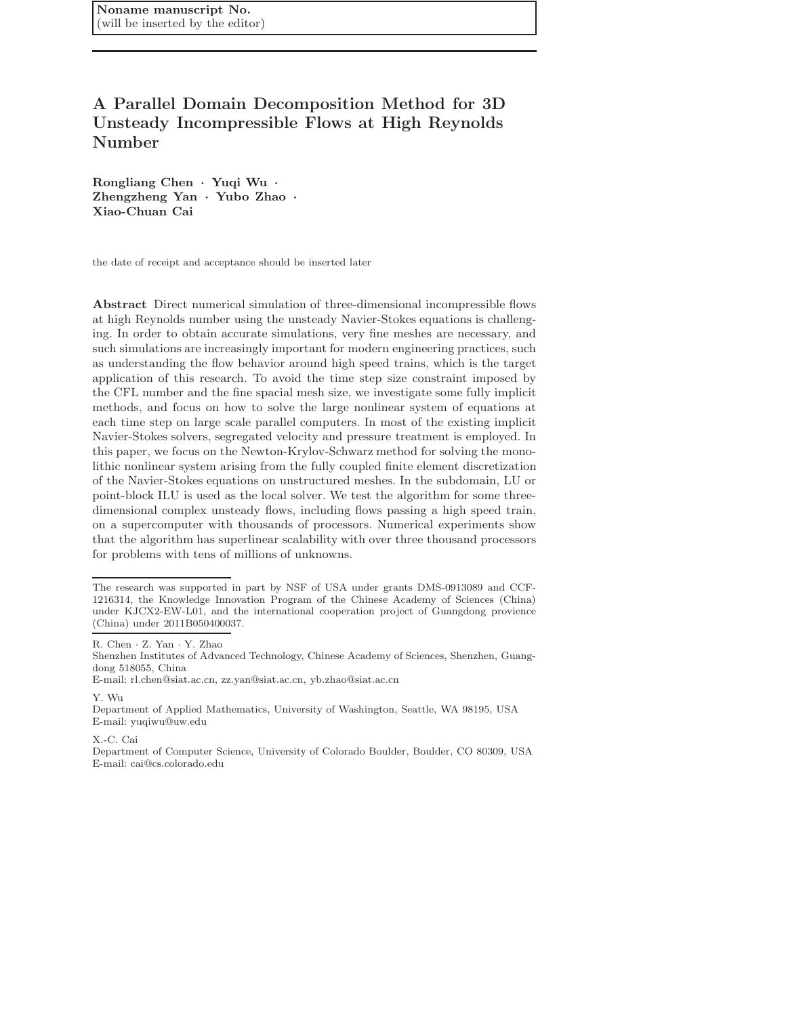# A Parallel Domain Decomposition Method for 3D Unsteady Incompressible Flows at High Reynolds Number

Rongliang Chen · Yuqi Wu · Zhengzheng Yan · Yubo Zhao · Xiao-Chuan Cai

the date of receipt and acceptance should be inserted later

Abstract Direct numerical simulation of three-dimensional incompressible flows at high Reynolds number using the unsteady Navier-Stokes equations is challenging. In order to obtain accurate simulations, very fine meshes are necessary, and such simulations are increasingly important for modern engineering practices, such as understanding the flow behavior around high speed trains, which is the target application of this research. To avoid the time step size constraint imposed by the CFL number and the fine spacial mesh size, we investigate some fully implicit methods, and focus on how to solve the large nonlinear system of equations at each time step on large scale parallel computers. In most of the existing implicit Navier-Stokes solvers, segregated velocity and pressure treatment is employed. In this paper, we focus on the Newton-Krylov-Schwarz method for solving the monolithic nonlinear system arising from the fully coupled finite element discretization of the Navier-Stokes equations on unstructured meshes. In the subdomain, LU or point-block ILU is used as the local solver. We test the algorithm for some threedimensional complex unsteady flows, including flows passing a high speed train, on a supercomputer with thousands of processors. Numerical experiments show that the algorithm has superlinear scalability with over three thousand processors for problems with tens of millions of unknowns.

Y. Wu

X.-C. Cai

The research was supported in part by NSF of USA under grants DMS-0913089 and CCF-1216314, the Knowledge Innovation Program of the Chinese Academy of Sciences (China) under KJCX2-EW-L01, and the international cooperation project of Guangdong provience (China) under 2011B050400037.

R. Chen · Z. Yan · Y. Zhao

Shenzhen Institutes of Advanced Technology, Chinese Academy of Sciences, Shenzhen, Guangdong 518055, China

E-mail: rl.chen@siat.ac.cn, zz.yan@siat.ac.cn, yb.zhao@siat.ac.cn

Department of Applied Mathematics, University of Washington, Seattle, WA 98195, USA E-mail: yuqiwu@uw.edu

Department of Computer Science, University of Colorado Boulder, Boulder, CO 80309, USA E-mail: cai@cs.colorado.edu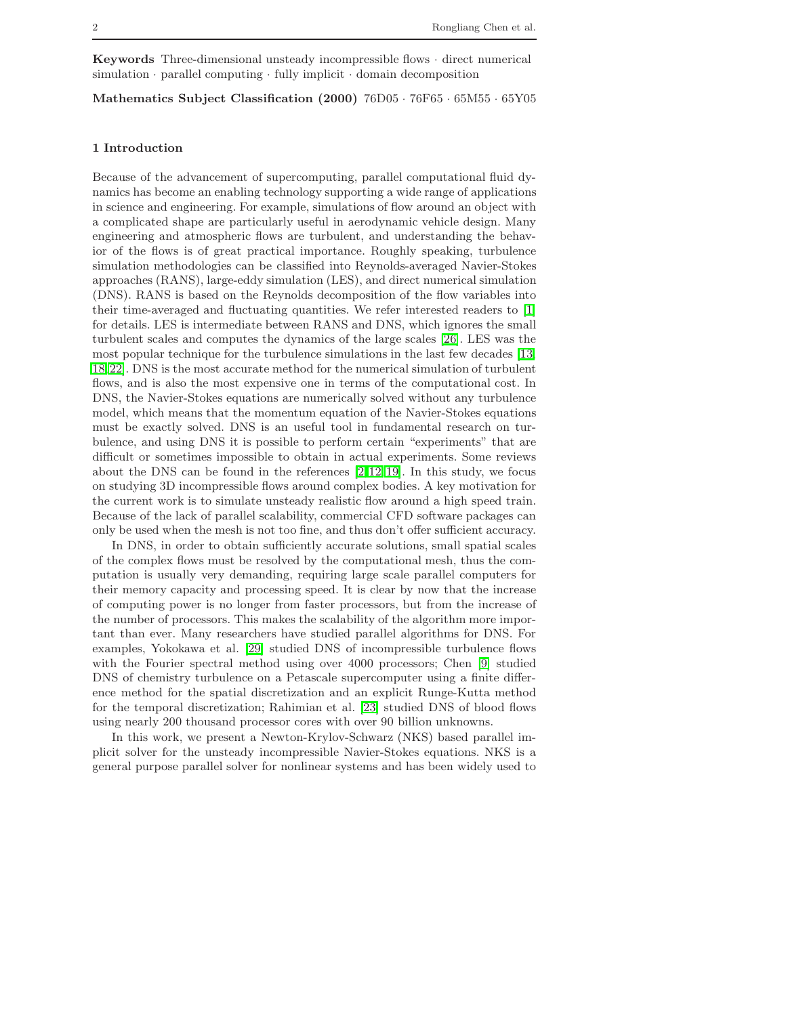**Keywords** Three-dimensional unsteady incompressible flows  $\cdot$  direct numerical  $s$ imulation · parallel computing · fully implicit · domain decomposition

Mathematics Subject Classification (2000) 76D05 · 76F65 · 65M55 · 65Y05

## 1 Introduction

Because of the advancement of supercomputing, parallel computational fluid dynamics has become an enabling technology supporting a wide range of applications in science and engineering. For example, simulations of flow around an object with a complicated shape are particularly useful in aerodynamic vehicle design. Many engineering and atmospheric flows are turbulent, and understanding the behavior of the flows is of great practical importance. Roughly speaking, turbulence simulation methodologies can be classified into Reynolds-averaged Navier-Stokes approaches (RANS), large-eddy simulation (LES), and direct numerical simulation (DNS). RANS is based on the Reynolds decomposition of the flow variables into their time-averaged and fluctuating quantities. We refer interested readers to [\[1\]](#page-15-0) for details. LES is intermediate between RANS and DNS, which ignores the small turbulent scales and computes the dynamics of the large scales [\[26\]](#page-16-0). LES was the most popular technique for the turbulence simulations in the last few decades [\[13,](#page-15-1) [18,](#page-16-1) [22\]](#page-16-2). DNS is the most accurate method for the numerical simulation of turbulent flows, and is also the most expensive one in terms of the computational cost. In DNS, the Navier-Stokes equations are numerically solved without any turbulence model, which means that the momentum equation of the Navier-Stokes equations must be exactly solved. DNS is an useful tool in fundamental research on turbulence, and using DNS it is possible to perform certain "experiments" that are difficult or sometimes impossible to obtain in actual experiments. Some reviews about the DNS can be found in the references  $[2, 12, 19]$  $[2, 12, 19]$  $[2, 12, 19]$ . In this study, we focus on studying 3D incompressible flows around complex bodies. A key motivation for the current work is to simulate unsteady realistic flow around a high speed train. Because of the lack of parallel scalability, commercial CFD software packages can only be used when the mesh is not too fine, and thus don't offer sufficient accuracy.

In DNS, in order to obtain sufficiently accurate solutions, small spatial scales of the complex flows must be resolved by the computational mesh, thus the computation is usually very demanding, requiring large scale parallel computers for their memory capacity and processing speed. It is clear by now that the increase of computing power is no longer from faster processors, but from the increase of the number of processors. This makes the scalability of the algorithm more important than ever. Many researchers have studied parallel algorithms for DNS. For examples, Yokokawa et al. [\[29\]](#page-16-4) studied DNS of incompressible turbulence flows with the Fourier spectral method using over 4000 processors; Chen [\[9\]](#page-15-4) studied DNS of chemistry turbulence on a Petascale supercomputer using a finite difference method for the spatial discretization and an explicit Runge-Kutta method for the temporal discretization; Rahimian et al. [\[23\]](#page-16-5) studied DNS of blood flows using nearly 200 thousand processor cores with over 90 billion unknowns.

In this work, we present a Newton-Krylov-Schwarz (NKS) based parallel implicit solver for the unsteady incompressible Navier-Stokes equations. NKS is a general purpose parallel solver for nonlinear systems and has been widely used to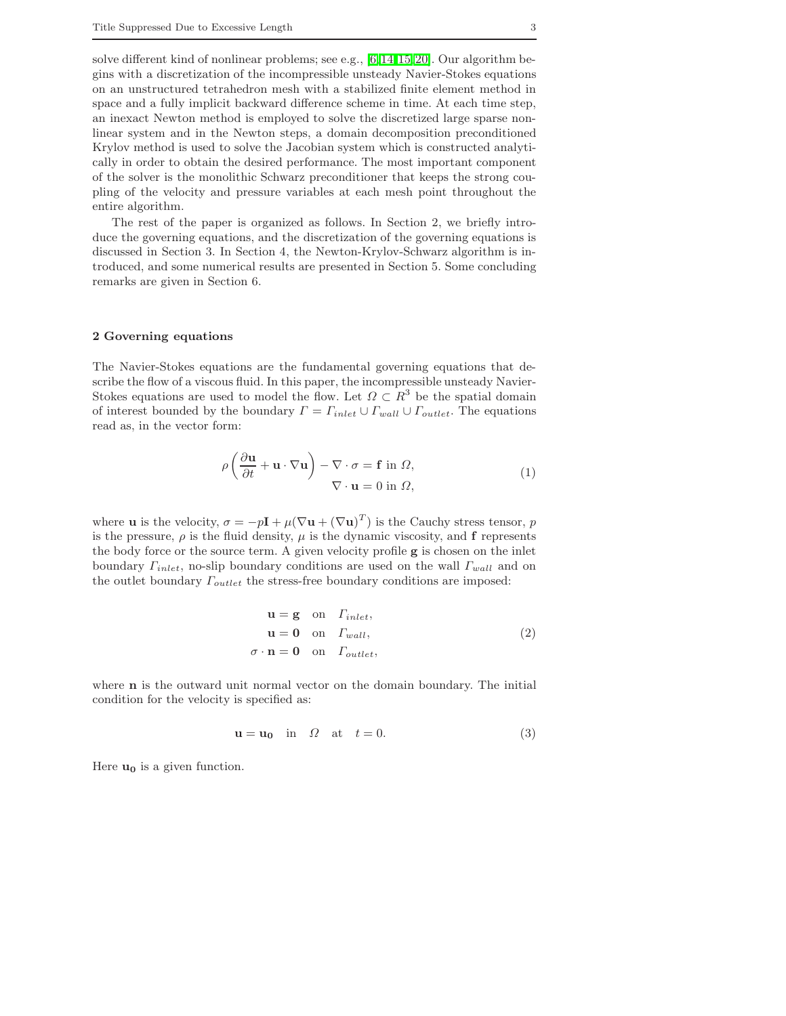solve different kind of nonlinear problems; see e.g., [\[6,](#page-15-5) [14,](#page-15-6)[15,](#page-16-6) [20\]](#page-16-7). Our algorithm begins with a discretization of the incompressible unsteady Navier-Stokes equations on an unstructured tetrahedron mesh with a stabilized finite element method in space and a fully implicit backward difference scheme in time. At each time step, an inexact Newton method is employed to solve the discretized large sparse nonlinear system and in the Newton steps, a domain decomposition preconditioned Krylov method is used to solve the Jacobian system which is constructed analytically in order to obtain the desired performance. The most important component of the solver is the monolithic Schwarz preconditioner that keeps the strong coupling of the velocity and pressure variables at each mesh point throughout the entire algorithm.

The rest of the paper is organized as follows. In Section 2, we briefly introduce the governing equations, and the discretization of the governing equations is discussed in Section 3. In Section 4, the Newton-Krylov-Schwarz algorithm is introduced, and some numerical results are presented in Section 5. Some concluding remarks are given in Section 6.

#### 2 Governing equations

The Navier-Stokes equations are the fundamental governing equations that describe the flow of a viscous fluid. In this paper, the incompressible unsteady Navier-Stokes equations are used to model the flow. Let  $\Omega \subset R^3$  be the spatial domain of interest bounded by the boundary  $\Gamma = \Gamma_{inlet} \cup \Gamma_{wall} \cup \Gamma_{outlet}$ . The equations read as, in the vector form:

$$
\rho \left( \frac{\partial \mathbf{u}}{\partial t} + \mathbf{u} \cdot \nabla \mathbf{u} \right) - \nabla \cdot \sigma = \mathbf{f} \text{ in } \Omega,
$$
  

$$
\nabla \cdot \mathbf{u} = 0 \text{ in } \Omega,
$$
 (1)

<span id="page-2-0"></span>where **u** is the velocity,  $\sigma = -p\mathbf{I} + \mu(\nabla \mathbf{u} + (\nabla \mathbf{u})^T)$  is the Cauchy stress tensor, p is the pressure,  $\rho$  is the fluid density,  $\mu$  is the dynamic viscosity, and **f** represents the body force or the source term. A given velocity profile g is chosen on the inlet boundary  $\Gamma_{inlet}$ , no-slip boundary conditions are used on the wall  $\Gamma_{wall}$  and on the outlet boundary  $\Gamma_{outlet}$  the stress-free boundary conditions are imposed:

$$
\mathbf{u} = \mathbf{g} \quad \text{on} \quad \Gamma_{inlet},
$$
  

$$
\mathbf{u} = \mathbf{0} \quad \text{on} \quad \Gamma_{wall},
$$
  

$$
\sigma \cdot \mathbf{n} = \mathbf{0} \quad \text{on} \quad \Gamma_{outlet},
$$
 (2)

where n is the outward unit normal vector on the domain boundary. The initial condition for the velocity is specified as:

$$
\mathbf{u} = \mathbf{u_0} \quad \text{in} \quad \Omega \quad \text{at} \quad t = 0. \tag{3}
$$

Here  $u_0$  is a given function.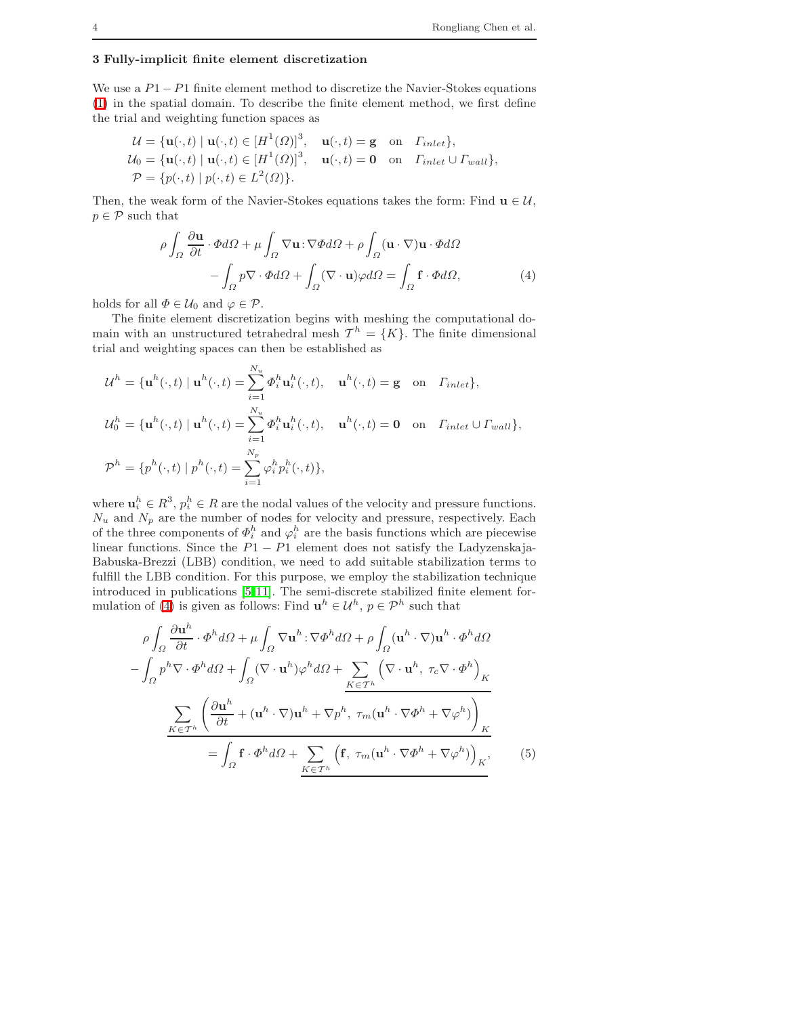# 3 Fully-implicit finite element discretization

We use a  $P1-P1$  finite element method to discretize the Navier-Stokes equations [\(1\)](#page-2-0) in the spatial domain. To describe the finite element method, we first define the trial and weighting function spaces as

$$
\mathcal{U} = {\mathbf{u}(\cdot, t) | \mathbf{u}(\cdot, t) \in [H^1(\Omega)]^3, \mathbf{u}(\cdot, t) = \mathbf{g} \text{ on } \Gamma_{inlet}},
$$
  
\n
$$
\mathcal{U}_0 = {\mathbf{u}(\cdot, t) | \mathbf{u}(\cdot, t) \in [H^1(\Omega)]^3, \mathbf{u}(\cdot, t) = \mathbf{0} \text{ on } \Gamma_{inlet} \cup \Gamma_{wall}},
$$
  
\n
$$
\mathcal{P} = {p(\cdot, t) | p(\cdot, t) \in L^2(\Omega)}.
$$

<span id="page-3-0"></span>Then, the weak form of the Navier-Stokes equations takes the form: Find  $\mathbf{u} \in \mathcal{U}$ ,  $p \in \mathcal{P}$  such that

$$
\rho \int_{\Omega} \frac{\partial \mathbf{u}}{\partial t} \cdot \Phi d\Omega + \mu \int_{\Omega} \nabla \mathbf{u} \cdot \nabla \Phi d\Omega + \rho \int_{\Omega} (\mathbf{u} \cdot \nabla) \mathbf{u} \cdot \Phi d\Omega \n- \int_{\Omega} p \nabla \cdot \Phi d\Omega + \int_{\Omega} (\nabla \cdot \mathbf{u}) \varphi d\Omega = \int_{\Omega} \mathbf{f} \cdot \Phi d\Omega,
$$
\n(4)

holds for all  $\Phi \in \mathcal{U}_0$  and  $\varphi \in \mathcal{P}$ .

The finite element discretization begins with meshing the computational domain with an unstructured tetrahedral mesh  $\mathcal{T}^h = \{K\}$ . The finite dimensional trial and weighting spaces can then be established as

$$
\mathcal{U}^{h} = \{ \mathbf{u}^{h}(\cdot, t) \mid \mathbf{u}^{h}(\cdot, t) = \sum_{i=1}^{N_{u}} \Phi_{i}^{h} \mathbf{u}_{i}^{h}(\cdot, t), \quad \mathbf{u}^{h}(\cdot, t) = \mathbf{g} \text{ on } \Gamma_{inlet} \},
$$
  

$$
\mathcal{U}_{0}^{h} = \{ \mathbf{u}^{h}(\cdot, t) \mid \mathbf{u}^{h}(\cdot, t) = \sum_{i=1}^{N_{u}} \Phi_{i}^{h} \mathbf{u}_{i}^{h}(\cdot, t), \quad \mathbf{u}^{h}(\cdot, t) = \mathbf{0} \text{ on } \Gamma_{inlet} \cup \Gamma_{wall} \},
$$
  

$$
\mathcal{P}^{h} = \{ p^{h}(\cdot, t) \mid p^{h}(\cdot, t) = \sum_{i=1}^{N_{p}} \varphi_{i}^{h} p_{i}^{h}(\cdot, t) \},
$$

where  $\mathbf{u}_i^h \in R^3$ ,  $p_i^h \in R$  are the nodal values of the velocity and pressure functions.  $N_u$  and  $N_p$  are the number of nodes for velocity and pressure, respectively. Each of the three components of  $\Phi_i^h$  and  $\varphi_i^h$  are the basis functions which are piecewise linear functions. Since the  $P1 - P1$  element does not satisfy the Ladyzenskaja-Babuska-Brezzi (LBB) condition, we need to add suitable stabilization terms to fulfill the LBB condition. For this purpose, we employ the stabilization technique introduced in publications [\[5,](#page-15-7) [11\]](#page-15-8). The semi-discrete stabilized finite element for-mulation of [\(4\)](#page-3-0) is given as follows: Find  $\mathbf{u}^h \in \mathcal{U}^h$ ,  $p \in \mathcal{P}^h$  such that

<span id="page-3-1"></span>
$$
\rho \int_{\Omega} \frac{\partial \mathbf{u}^{h}}{\partial t} \cdot \Phi^{h} d\Omega + \mu \int_{\Omega} \nabla \mathbf{u}^{h} \cdot \nabla \Phi^{h} d\Omega + \rho \int_{\Omega} (\mathbf{u}^{h} \cdot \nabla) \mathbf{u}^{h} \cdot \Phi^{h} d\Omega
$$

$$
- \int_{\Omega} p^{h} \nabla \cdot \Phi^{h} d\Omega + \int_{\Omega} (\nabla \cdot \mathbf{u}^{h}) \varphi^{h} d\Omega + \sum_{K \in \mathcal{T}^{h}} \left( \nabla \cdot \mathbf{u}^{h}, \tau_{c} \nabla \cdot \Phi^{h} \right)_{K}
$$

$$
\sum_{K \in \mathcal{T}^{h}} \left( \frac{\partial \mathbf{u}^{h}}{\partial t} + (\mathbf{u}^{h} \cdot \nabla) \mathbf{u}^{h} + \nabla p^{h}, \tau_{m} (\mathbf{u}^{h} \cdot \nabla \Phi^{h} + \nabla \varphi^{h}) \right)_{K}
$$

$$
= \int_{\Omega} \mathbf{f} \cdot \Phi^{h} d\Omega + \sum_{K \in \mathcal{T}^{h}} \left( \mathbf{f}, \tau_{m} (\mathbf{u}^{h} \cdot \nabla \Phi^{h} + \nabla \varphi^{h}) \right)_{K}, \tag{5}
$$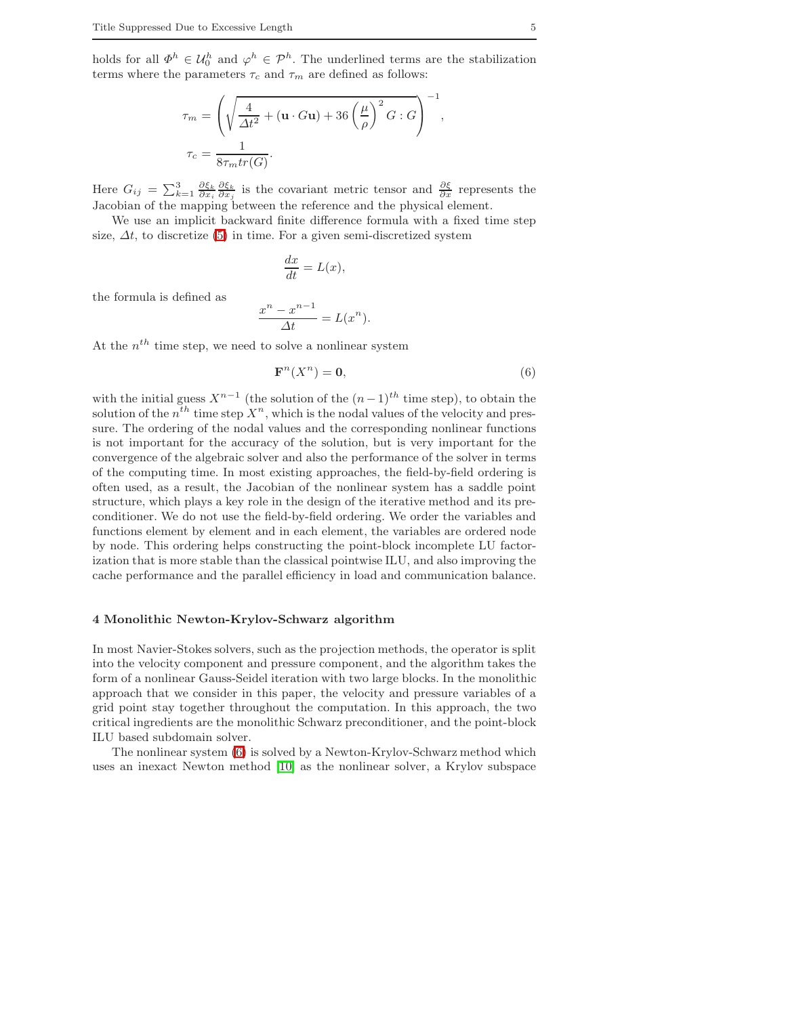holds for all  $\Phi^h \in \mathcal{U}_0^h$  and  $\varphi^h \in \mathcal{P}^h$ . The underlined terms are the stabilization terms where the parameters  $\tau_c$  and  $\tau_m$  are defined as follows:

$$
\tau_m = \left(\sqrt{\frac{4}{\Delta t^2} + (\mathbf{u} \cdot G\mathbf{u}) + 36\left(\frac{\mu}{\rho}\right)^2 G : G}\right)^{-1}
$$

$$
\tau_c = \frac{1}{8\tau_m tr(G)}.
$$

Here  $G_{ij} = \sum_{k=1}^{3} \frac{\partial \xi_k}{\partial x_i} \frac{\partial \xi_k}{\partial x_j}$  is the covariant metric tensor and  $\frac{\partial \xi}{\partial x}$  represents the Jacobian of the mapping between the reference and the physical element.

We use an implicit backward finite difference formula with a fixed time step size,  $\Delta t$ , to discretize [\(5\)](#page-3-1) in time. For a given semi-discretized system

$$
\frac{dx}{dt} = L(x),
$$

the formula is defined as

$$
\frac{x^n - x^{n-1}}{\Delta t} = L(x^n).
$$

At the  $n^{th}$  time step, we need to solve a nonlinear system

<span id="page-4-0"></span>
$$
\mathbf{F}^n(X^n) = \mathbf{0},\tag{6}
$$

,

with the initial guess  $X^{n-1}$  (the solution of the  $(n-1)^{th}$  time step), to obtain the solution of the  $n^{th}$  time step  $X^n$ , which is the nodal values of the velocity and pressure. The ordering of the nodal values and the corresponding nonlinear functions is not important for the accuracy of the solution, but is very important for the convergence of the algebraic solver and also the performance of the solver in terms of the computing time. In most existing approaches, the field-by-field ordering is often used, as a result, the Jacobian of the nonlinear system has a saddle point structure, which plays a key role in the design of the iterative method and its preconditioner. We do not use the field-by-field ordering. We order the variables and functions element by element and in each element, the variables are ordered node by node. This ordering helps constructing the point-block incomplete LU factorization that is more stable than the classical pointwise ILU, and also improving the cache performance and the parallel efficiency in load and communication balance.

## 4 Monolithic Newton-Krylov-Schwarz algorithm

In most Navier-Stokes solvers, such as the projection methods, the operator is split into the velocity component and pressure component, and the algorithm takes the form of a nonlinear Gauss-Seidel iteration with two large blocks. In the monolithic approach that we consider in this paper, the velocity and pressure variables of a grid point stay together throughout the computation. In this approach, the two critical ingredients are the monolithic Schwarz preconditioner, and the point-block ILU based subdomain solver.

The nonlinear system [\(6\)](#page-4-0) is solved by a Newton-Krylov-Schwarz method which uses an inexact Newton method [\[10\]](#page-15-9) as the nonlinear solver, a Krylov subspace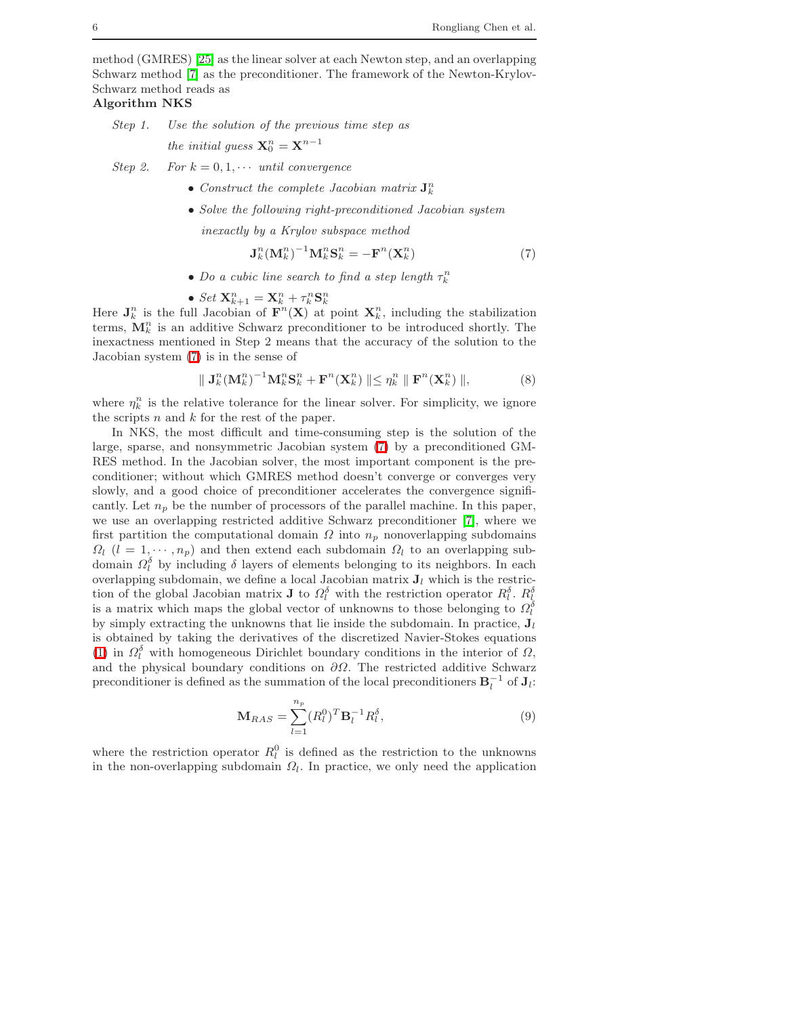method (GMRES) [\[25\]](#page-16-8) as the linear solver at each Newton step, and an overlapping Schwarz method [\[7\]](#page-15-10) as the preconditioner. The framework of the Newton-Krylov-Schwarz method reads as

Algorithm NKS

Step 1. Use the solution of the previous time step as

the initial guess  $\mathbf{X}_0^n = \mathbf{X}^{n-1}$ 

Step 2. For  $k = 0, 1, \cdots$  until convergence

- Construct the complete Jacobian matrix  $J_k^n$
- Solve the following right-preconditioned Jacobian system

inexactly by a Krylov subspace method

$$
\mathbf{J}_{k}^{n}(\mathbf{M}_{k}^{n})^{-1}\mathbf{M}_{k}^{n}\mathbf{S}_{k}^{n} = -\mathbf{F}^{n}(\mathbf{X}_{k}^{n})
$$
\n(7)

• Do a cubic line search to find a step length  $\tau_k^n$ 

• Set 
$$
\mathbf{X}_{k+1}^n = \mathbf{X}_k^n + \tau_k^n \mathbf{S}_k^n
$$

<span id="page-5-0"></span>Here  $J_k^n$  is the full Jacobian of  $F^n(X)$  at point  $X_k^n$ , including the stabilization terms,  $\mathbf{M}_{k}^{n}$  is an additive Schwarz preconditioner to be introduced shortly. The inexactness mentioned in Step 2 means that the accuracy of the solution to the Jacobian system [\(7\)](#page-5-0) is in the sense of

$$
\| \mathbf{J}_{k}^{n}(\mathbf{M}_{k}^{n})^{-1}\mathbf{M}_{k}^{n}\mathbf{S}_{k}^{n} + \mathbf{F}^{n}(\mathbf{X}_{k}^{n}) \| \leq \eta_{k}^{n} \| \mathbf{F}^{n}(\mathbf{X}_{k}^{n}) \|,
$$
 (8)

where  $\eta_k^n$  is the relative tolerance for the linear solver. For simplicity, we ignore the scripts  $n$  and  $k$  for the rest of the paper.

In NKS, the most difficult and time-consuming step is the solution of the large, sparse, and nonsymmetric Jacobian system [\(7\)](#page-5-0) by a preconditioned GM-RES method. In the Jacobian solver, the most important component is the preconditioner; without which GMRES method doesn't converge or converges very slowly, and a good choice of preconditioner accelerates the convergence significantly. Let  $n_p$  be the number of processors of the parallel machine. In this paper, we use an overlapping restricted additive Schwarz preconditioner [\[7\]](#page-15-10), where we first partition the computational domain  $\Omega$  into  $n_p$  nonoverlapping subdomains  $\Omega_l$  ( $l = 1, \dots, n_p$ ) and then extend each subdomain  $\Omega_l$  to an overlapping subdomain  $\Omega_l^{\delta}$  by including  $\delta$  layers of elements belonging to its neighbors. In each overlapping subdomain, we define a local Jacobian matrix  $J_l$  which is the restriction of the global Jacobian matrix **J** to  $\Omega_l^{\delta}$  with the restriction operator  $R_l^{\delta}$ .  $R_l^{\delta}$ is a matrix which maps the global vector of unknowns to those belonging to  $\Omega_l^{\delta}$ by simply extracting the unknowns that lie inside the subdomain. In practice,  $J_l$ is obtained by taking the derivatives of the discretized Navier-Stokes equations [\(1\)](#page-2-0) in  $\Omega_l^{\delta}$  with homogeneous Dirichlet boundary conditions in the interior of  $\Omega$ , and the physical boundary conditions on  $\partial\Omega$ . The restricted additive Schwarz preconditioner is defined as the summation of the local preconditioners  $B_l^{-1}$  of  $J_l$ :

$$
\mathbf{M}_{RAS} = \sum_{l=1}^{n_p} (R_l^0)^T \mathbf{B}_l^{-1} R_l^{\delta},\tag{9}
$$

where the restriction operator  $R_l^0$  is defined as the restriction to the unknowns in the non-overlapping subdomain  $\Omega_l$ . In practice, we only need the application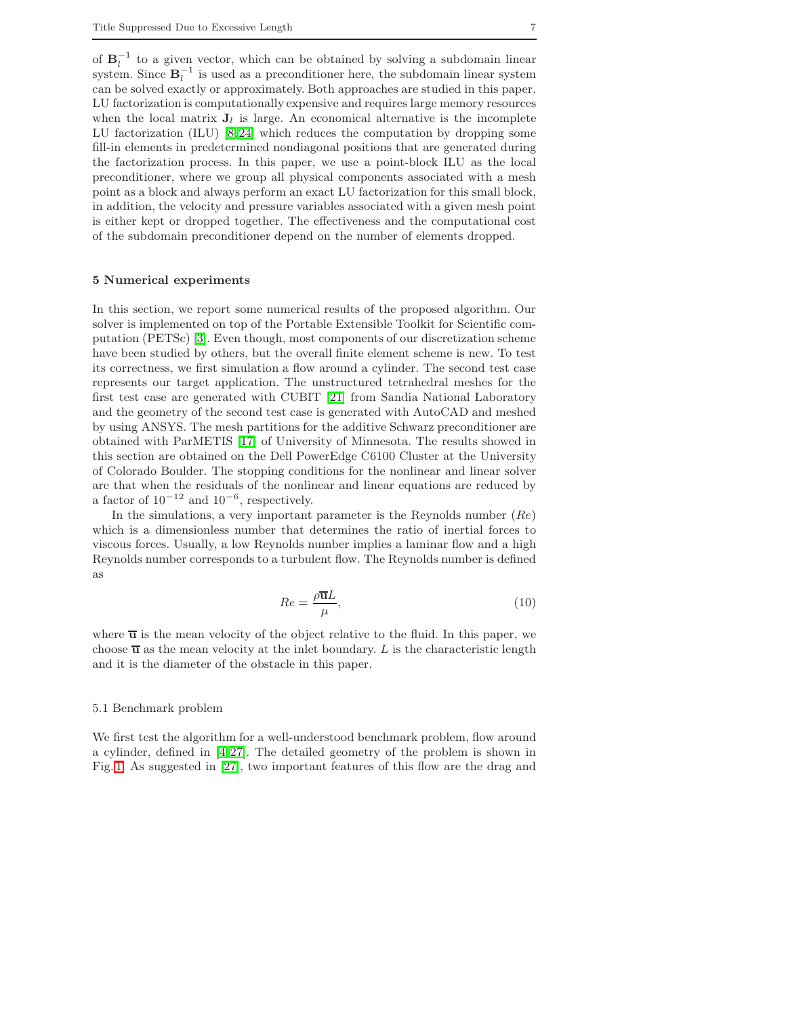of  $B_l^{-1}$  to a given vector, which can be obtained by solving a subdomain linear system. Since  $\mathbf{B}_l^{-1}$  is used as a preconditioner here, the subdomain linear system can be solved exactly or approximately. Both approaches are studied in this paper. LU factorization is computationally expensive and requires large memory resources when the local matrix  $J_l$  is large. An economical alternative is the incomplete LU factorization (ILU) [\[8,](#page-15-11) [24\]](#page-16-9) which reduces the computation by dropping some fill-in elements in predetermined nondiagonal positions that are generated during the factorization process. In this paper, we use a point-block ILU as the local preconditioner, where we group all physical components associated with a mesh point as a block and always perform an exact LU factorization for this small block, in addition, the velocity and pressure variables associated with a given mesh point is either kept or dropped together. The effectiveness and the computational cost of the subdomain preconditioner depend on the number of elements dropped.

#### 5 Numerical experiments

In this section, we report some numerical results of the proposed algorithm. Our solver is implemented on top of the Portable Extensible Toolkit for Scientific computation (PETSc) [\[3\]](#page-15-12). Even though, most components of our discretization scheme have been studied by others, but the overall finite element scheme is new. To test its correctness, we first simulation a flow around a cylinder. The second test case represents our target application. The unstructured tetrahedral meshes for the first test case are generated with CUBIT [\[21\]](#page-16-10) from Sandia National Laboratory and the geometry of the second test case is generated with AutoCAD and meshed by using ANSYS. The mesh partitions for the additive Schwarz preconditioner are obtained with ParMETIS [\[17\]](#page-16-11) of University of Minnesota. The results showed in this section are obtained on the Dell PowerEdge C6100 Cluster at the University of Colorado Boulder. The stopping conditions for the nonlinear and linear solver are that when the residuals of the nonlinear and linear equations are reduced by a factor of  $10^{-12}$  and  $10^{-6}$ , respectively.

In the simulations, a very important parameter is the Reynolds number  $(Re)$ which is a dimensionless number that determines the ratio of inertial forces to viscous forces. Usually, a low Reynolds number implies a laminar flow and a high Reynolds number corresponds to a turbulent flow. The Reynolds number is defined as

$$
Re = \frac{\rho \overline{\mathbf{u}}L}{\mu},\tag{10}
$$

where  $\overline{u}$  is the mean velocity of the object relative to the fluid. In this paper, we choose  $\overline{u}$  as the mean velocity at the inlet boundary. L is the characteristic length and it is the diameter of the obstacle in this paper.

#### 5.1 Benchmark problem

We first test the algorithm for a well-understood benchmark problem, flow around a cylinder, defined in  $[4, 27]$  $[4, 27]$ . The detailed geometry of the problem is shown in Fig. [1.](#page-7-0) As suggested in [\[27\]](#page-16-12), two important features of this flow are the drag and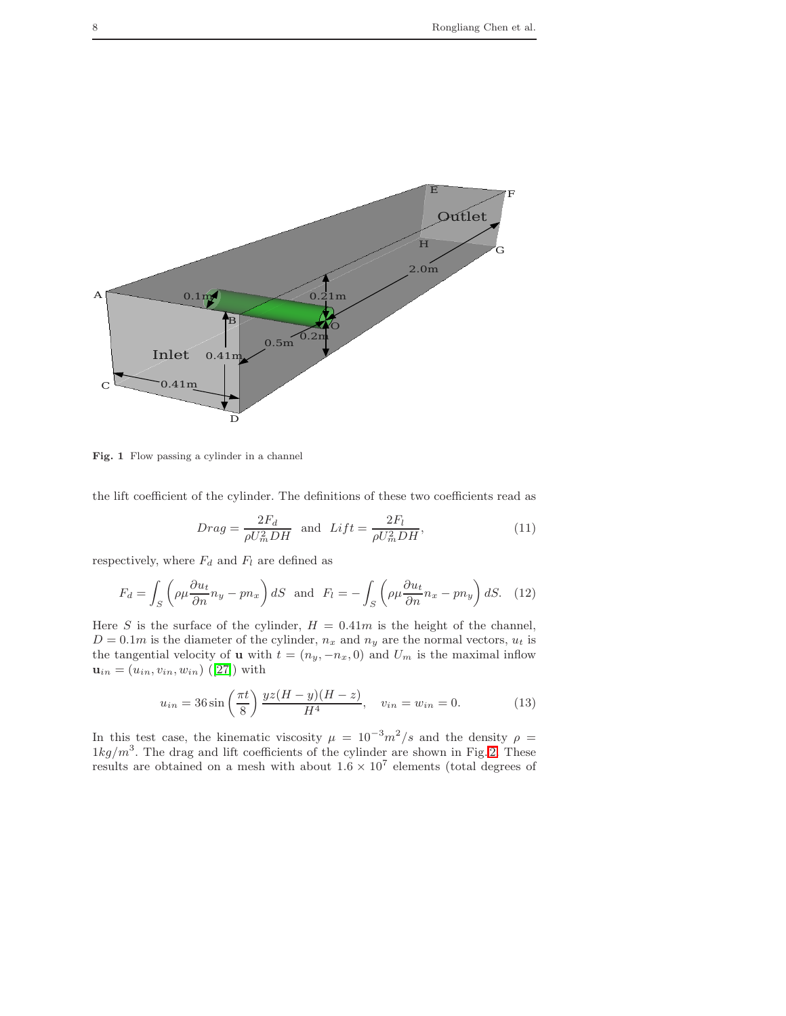

<span id="page-7-0"></span>Fig. 1 Flow passing a cylinder in a channel

the lift coefficient of the cylinder. The definitions of these two coefficients read as

$$
Drag = \frac{2F_d}{\rho U_m^2 DH} \text{ and } Lift = \frac{2F_l}{\rho U_m^2 DH},\tag{11}
$$

respectively, where  $F_d$  and  $F_l$  are defined as

$$
F_d = \int_S \left( \rho \mu \frac{\partial u_t}{\partial n} n_y - p n_x \right) dS \text{ and } F_l = -\int_S \left( \rho \mu \frac{\partial u_t}{\partial n} n_x - p n_y \right) dS. \quad (12)
$$

Here S is the surface of the cylinder,  $H = 0.41m$  is the height of the channel,  $D = 0.1m$  is the diameter of the cylinder,  $n_x$  and  $n_y$  are the normal vectors,  $u_t$  is the tangential velocity of **u** with  $t = (n_y, -n_x, 0)$  and  $U_m$  is the maximal inflow  $\mathbf{u}_{in} = (u_{in}, v_{in}, w_{in})$  ([\[27\]](#page-16-12)) with

$$
u_{in} = 36 \sin\left(\frac{\pi t}{8}\right) \frac{yz(H-y)(H-z)}{H^4}, \quad v_{in} = w_{in} = 0.
$$
 (13)

In this test case, the kinematic viscosity  $\mu = 10^{-3} m^2/s$  and the density  $\rho =$  $1kg/m<sup>3</sup>$ . The drag and lift coefficients of the cylinder are shown in Fig. [2.](#page-8-0) These results are obtained on a mesh with about  $1.6 \times 10^7$  elements (total degrees of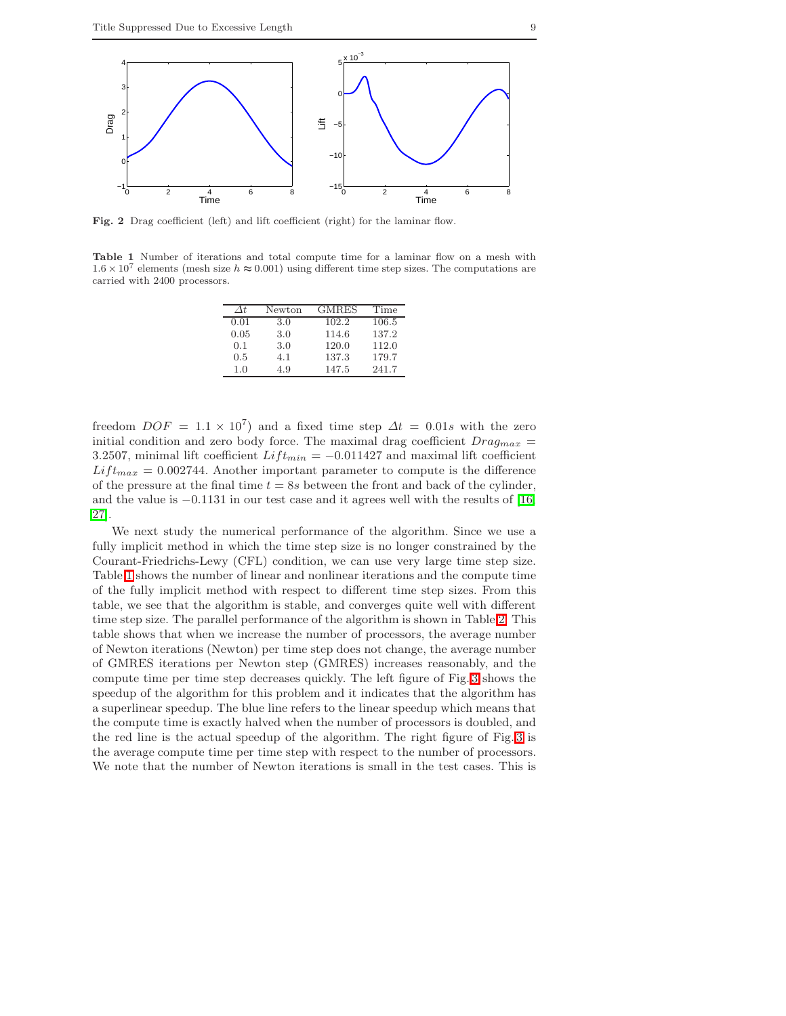

<span id="page-8-0"></span>Fig. 2 Drag coefficient (left) and lift coefficient (right) for the laminar flow.

<span id="page-8-1"></span>Table 1 Number of iterations and total compute time for a laminar flow on a mesh with  $1.6 \times 10^7$  elements (mesh size  $h \approx 0.001$ ) using different time step sizes. The computations are carried with 2400 processors.

| Λŧ.  | Newton | <b>GMRES</b> | Time  |
|------|--------|--------------|-------|
| 0.01 | 3.0    | 102.2        | 106.5 |
| 0.05 | 3.0    | 114.6        | 137.2 |
| 0.1  | 3.0    | 120.0        | 112.0 |
| 0.5  | 4.1    | 137.3        | 179.7 |
| 1.0  | 49     | 147.5        | 241.7 |

freedom  $DOF = 1.1 \times 10^7$  and a fixed time step  $\Delta t = 0.01s$  with the zero initial condition and zero body force. The maximal drag coefficient  $Drag_{max}$  = 3.2507, minimal lift coefficient  $Lift_{min} = -0.011427$  and maximal lift coefficient  $Lift_{max} = 0.002744$ . Another important parameter to compute is the difference of the pressure at the final time  $t = 8s$  between the front and back of the cylinder, and the value is −0.1131 in our test case and it agrees well with the results of [\[16,](#page-16-13) [27\]](#page-16-12).

We next study the numerical performance of the algorithm. Since we use a fully implicit method in which the time step size is no longer constrained by the Courant-Friedrichs-Lewy (CFL) condition, we can use very large time step size. Table [1](#page-8-1) shows the number of linear and nonlinear iterations and the compute time of the fully implicit method with respect to different time step sizes. From this table, we see that the algorithm is stable, and converges quite well with different time step size. The parallel performance of the algorithm is shown in Table [2.](#page-9-0) This table shows that when we increase the number of processors, the average number of Newton iterations (Newton) per time step does not change, the average number of GMRES iterations per Newton step (GMRES) increases reasonably, and the compute time per time step decreases quickly. The left figure of Fig. [3](#page-9-1) shows the speedup of the algorithm for this problem and it indicates that the algorithm has a superlinear speedup. The blue line refers to the linear speedup which means that the compute time is exactly halved when the number of processors is doubled, and the red line is the actual speedup of the algorithm. The right figure of Fig. [3](#page-9-1) is the average compute time per time step with respect to the number of processors. We note that the number of Newton iterations is small in the test cases. This is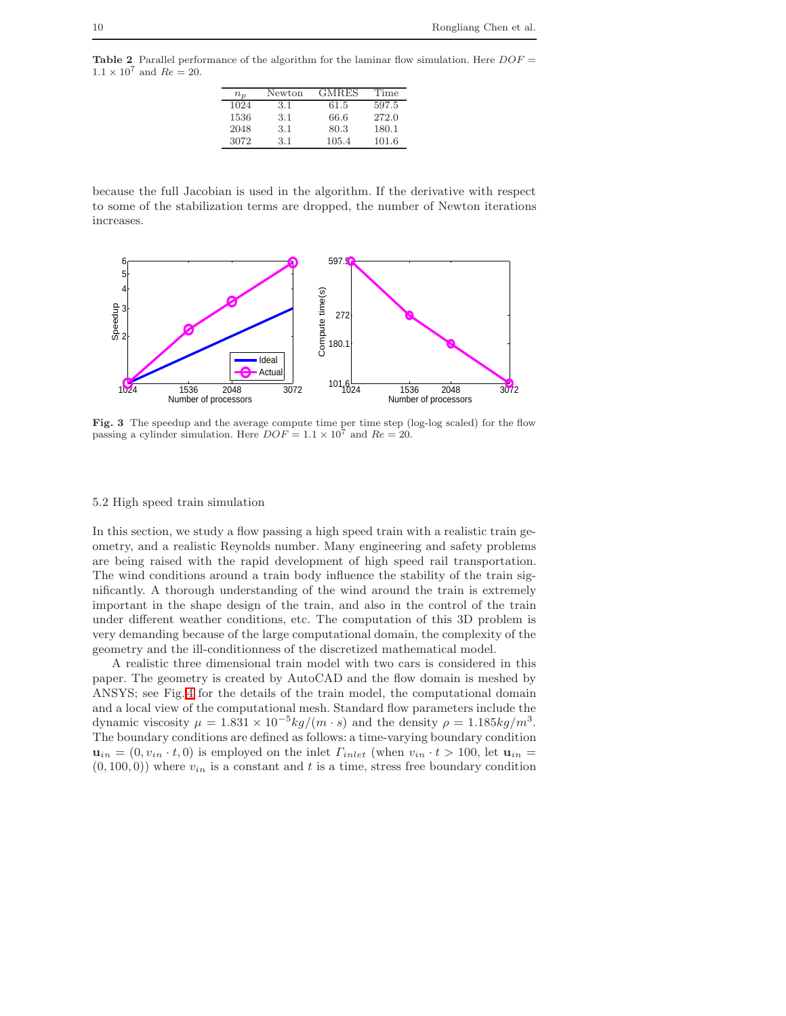<span id="page-9-0"></span>**Table 2** Parallel performance of the algorithm for the laminar flow simulation. Here  $DOF =$  $1.1 \times 10^7$  and  $Re = 20$ .

| $n_{n}$ | Newton | <b>GMRES</b> | Time  |
|---------|--------|--------------|-------|
| 1024    | 3.1    | 61.5         | 597.5 |
| 1536    | 3.1    | 66.6         | 272.0 |
| 2048    | 3.1    | 80.3         | 180.1 |
| 3072    | 3.1    | 105.4        | 101.6 |

because the full Jacobian is used in the algorithm. If the derivative with respect to some of the stabilization terms are dropped, the number of Newton iterations increases.



<span id="page-9-1"></span>Fig. 3 The speedup and the average compute time per time step (log-log scaled) for the flow passing a cylinder simulation. Here  $DOF = 1.1 \times 10^7$  and  $Re = 20$ .

#### 5.2 High speed train simulation

In this section, we study a flow passing a high speed train with a realistic train geometry, and a realistic Reynolds number. Many engineering and safety problems are being raised with the rapid development of high speed rail transportation. The wind conditions around a train body influence the stability of the train significantly. A thorough understanding of the wind around the train is extremely important in the shape design of the train, and also in the control of the train under different weather conditions, etc. The computation of this 3D problem is very demanding because of the large computational domain, the complexity of the geometry and the ill-conditionness of the discretized mathematical model.

A realistic three dimensional train model with two cars is considered in this paper. The geometry is created by AutoCAD and the flow domain is meshed by ANSYS; see Fig. [4](#page-10-0) for the details of the train model, the computational domain and a local view of the computational mesh. Standard flow parameters include the dynamic viscosity  $\mu = 1.831 \times 10^{-5} kg/(m \cdot s)$  and the density  $\rho = 1.185 kg/m^3$ . The boundary conditions are defined as follows: a time-varying boundary condition  $\mathbf{u}_{in} = (0, v_{in} \cdot t, 0)$  is employed on the inlet  $\Gamma_{inlet}$  (when  $v_{in} \cdot t > 100$ , let  $\mathbf{u}_{in} =$  $(0, 100, 0)$ ) where  $v_{in}$  is a constant and t is a time, stress free boundary condition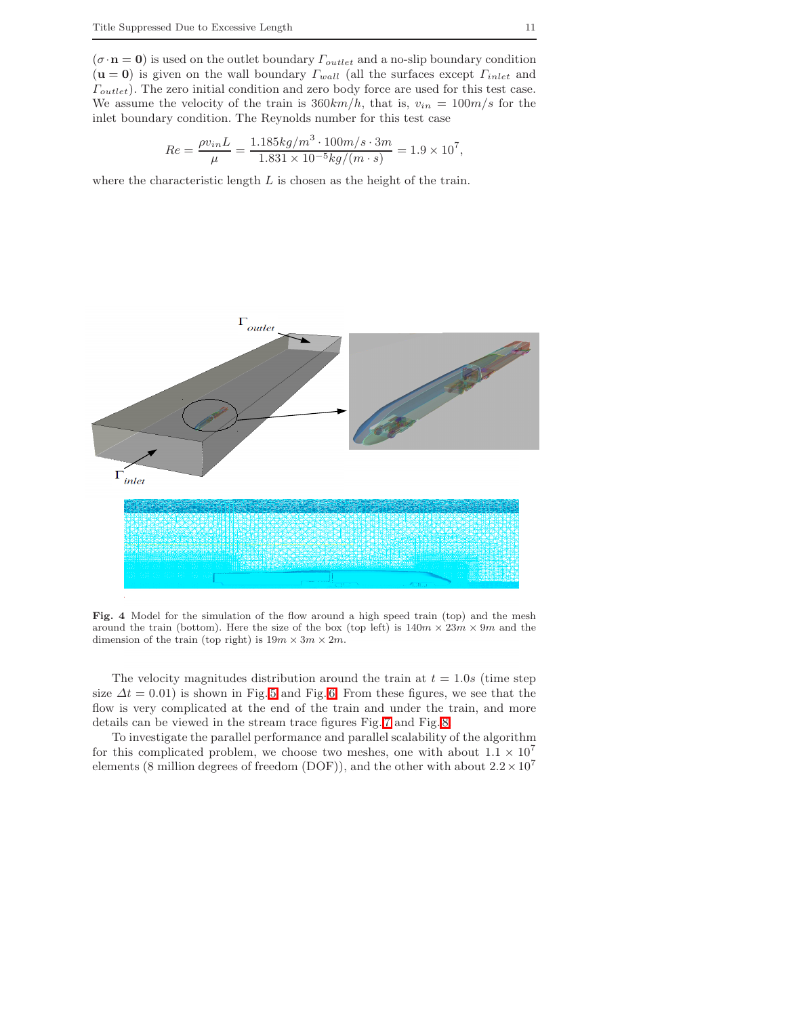$(\sigma\cdot\mathbf{n}=\mathbf{0})$  is used on the outlet boundary  $\varGamma_{outlet}$  and a no-slip boundary condition  $(\mathbf{u} = \mathbf{0})$  is given on the wall boundary  $\Gamma_{wall}$  (all the surfaces except  $\Gamma_{inlet}$  and  $\Gamma_{outlet}$ ). The zero initial condition and zero body force are used for this test case. We assume the velocity of the train is  $360km/h$ , that is,  $v_{in} = 100m/s$  for the inlet boundary condition. The Reynolds number for this test case

$$
Re = \frac{\rho v_{in} L}{\mu} = \frac{1.185 kg/m^3 \cdot 100 m/s \cdot 3m}{1.831 \times 10^{-5} kg/(m \cdot s)} = 1.9 \times 10^7,
$$

where the characteristic length  $L$  is chosen as the height of the train.



<span id="page-10-0"></span>Fig. 4 Model for the simulation of the flow around a high speed train (top) and the mesh around the train (bottom). Here the size of the box (top left) is  $140m \times 23m \times 9m$  and the dimension of the train (top right) is  $19m \times 3m \times 2m$ .

The velocity magnitudes distribution around the train at  $t = 1.0s$  (time step size  $\Delta t = 0.01$ ) is shown in Fig. [5](#page-11-0) and Fig. [6.](#page-12-0) From these figures, we see that the flow is very complicated at the end of the train and under the train, and more details can be viewed in the stream trace figures Fig. [7](#page-13-0) and Fig. [8.](#page-14-0)

To investigate the parallel performance and parallel scalability of the algorithm for this complicated problem, we choose two meshes, one with about  $1.1 \times 10^7$ elements (8 million degrees of freedom (DOF)), and the other with about  $2.2 \times 10^7$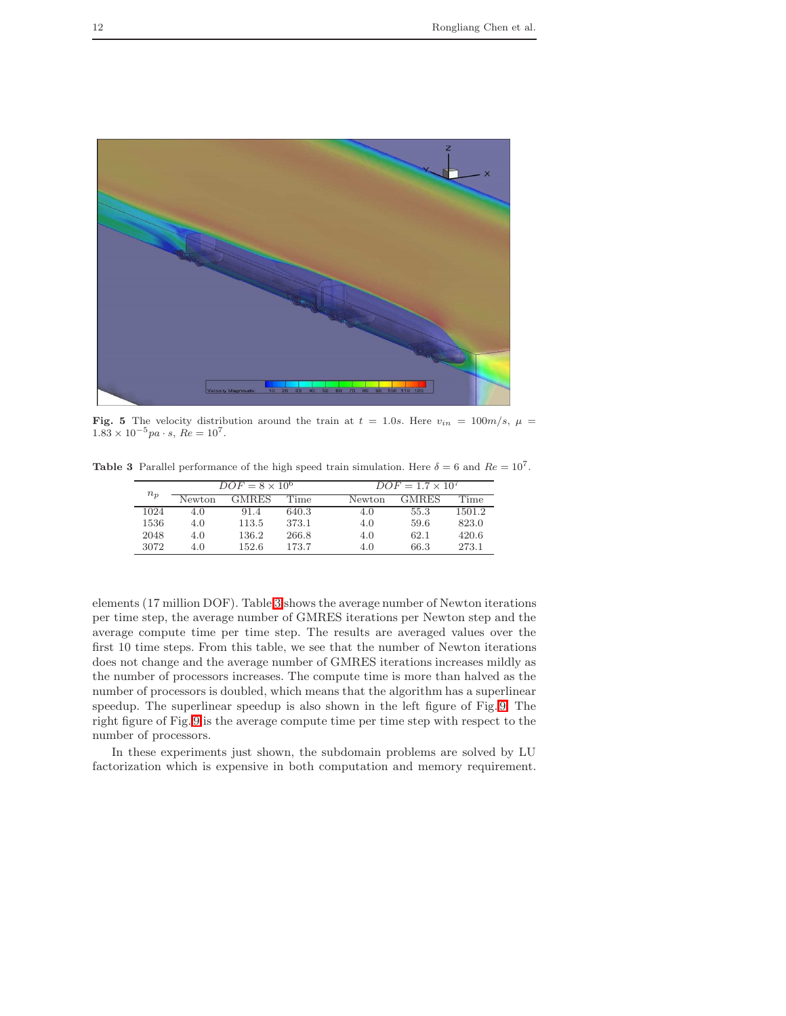

Fig. 5 The velocity distribution around the train at  $t = 1.0s$ . Here  $v_{in} = 100m/s$ ,  $\mu =$  $1.83 \times 10^{-5}$  pa · s,  $Re = 10^{7}$ .

<span id="page-11-1"></span><span id="page-11-0"></span>Table 3 Parallel performance of the high speed train simulation. Here  $\delta = 6$  and  $Re = 10^7$ .

| $n_p$ | $DOF = 8 \times 10^6$ |       |       |        | $DOF = 1.7 \times 10^7$ |        |  |
|-------|-----------------------|-------|-------|--------|-------------------------|--------|--|
|       | Newton                | GMRES | Time  | Newton | GMRES                   | Time   |  |
| 1024  | 4.0                   | 91.4  | 640.3 | 4.0    | 55.3                    | 1501.2 |  |
| 1536  | 4.0                   | 113.5 | 373.1 | 4.0    | 59.6                    | 823.0  |  |
| 2048  | 4.0                   | 136.2 | 266.8 | 4.0    | 62.1                    | 420.6  |  |
| 3072  | 4.0                   | 152.6 | 173.7 | 4.0    | 66.3                    | 273.1  |  |

elements (17 million DOF). Table [3](#page-11-1) shows the average number of Newton iterations per time step, the average number of GMRES iterations per Newton step and the average compute time per time step. The results are averaged values over the first 10 time steps. From this table, we see that the number of Newton iterations does not change and the average number of GMRES iterations increases mildly as the number of processors increases. The compute time is more than halved as the number of processors is doubled, which means that the algorithm has a superlinear speedup. The superlinear speedup is also shown in the left figure of Fig. [9.](#page-14-1) The right figure of Fig. [9](#page-14-1) is the average compute time per time step with respect to the number of processors.

In these experiments just shown, the subdomain problems are solved by LU factorization which is expensive in both computation and memory requirement.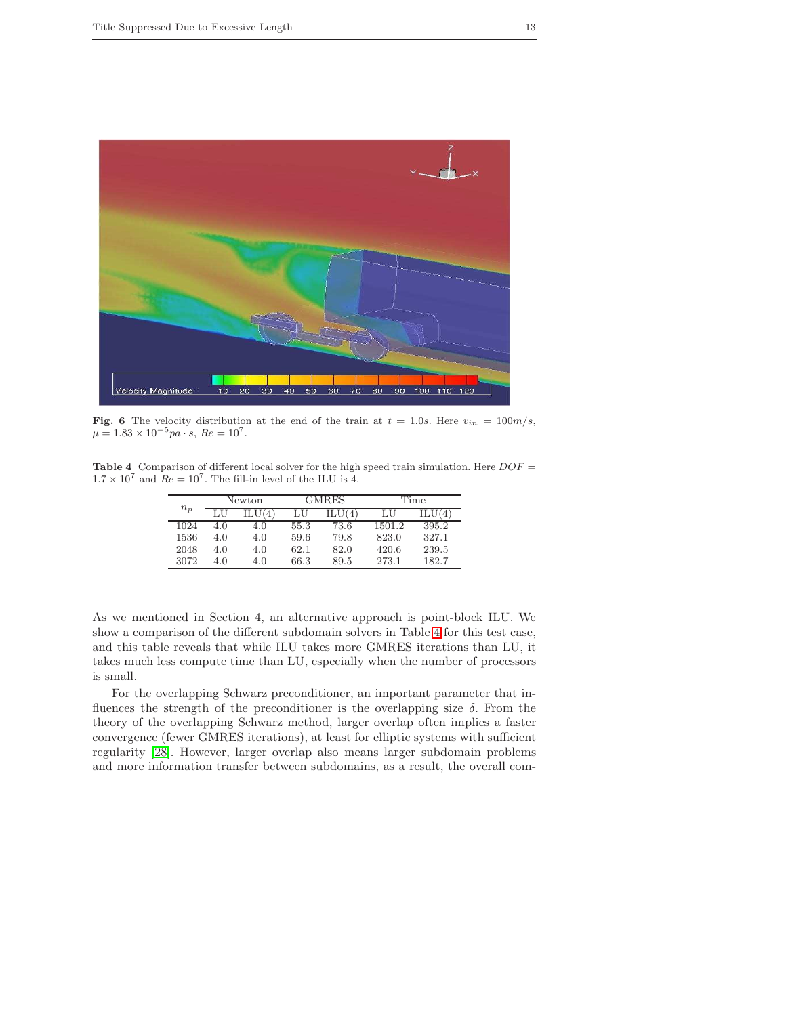

<span id="page-12-0"></span>Fig. 6 The velocity distribution at the end of the train at  $t = 1.0s$ . Here  $v_{in} = 100m/s$ ,  $\mu = 1.83 \times 10^{-5}$  pa · s,  $Re = 10^{7}$ .

<span id="page-12-1"></span>**Table 4** Comparison of different local solver for the high speed train simulation. Here  $DOF =$  $1.7 \times 10^7$  and  $Re = 10^7$ . The fill-in level of the ILU is 4.

|       | Newton |     | GMRES |      | Time   |       |
|-------|--------|-----|-------|------|--------|-------|
| $n_p$ |        |     |       |      | ا ل    |       |
| 1024  | 4.O    | 4.0 | 55.3  | 73.6 | 1501.2 | 395.2 |
| 1536  | 4.0    | 4.0 | 59.6  | 79.8 | 823.0  | 327.1 |
| 2048  | 4.0    | 4.0 | 62.1  | 82.0 | 420.6  | 239.5 |
| 3072  | 4.O    | 4.0 | 66.3  | 89.5 | 273.1  | 182.7 |

As we mentioned in Section 4, an alternative approach is point-block ILU. We show a comparison of the different subdomain solvers in Table [4](#page-12-1) for this test case, and this table reveals that while ILU takes more GMRES iterations than LU, it takes much less compute time than LU, especially when the number of processors is small.

For the overlapping Schwarz preconditioner, an important parameter that influences the strength of the preconditioner is the overlapping size  $\delta$ . From the theory of the overlapping Schwarz method, larger overlap often implies a faster convergence (fewer GMRES iterations), at least for elliptic systems with sufficient regularity [\[28\]](#page-16-14). However, larger overlap also means larger subdomain problems and more information transfer between subdomains, as a result, the overall com-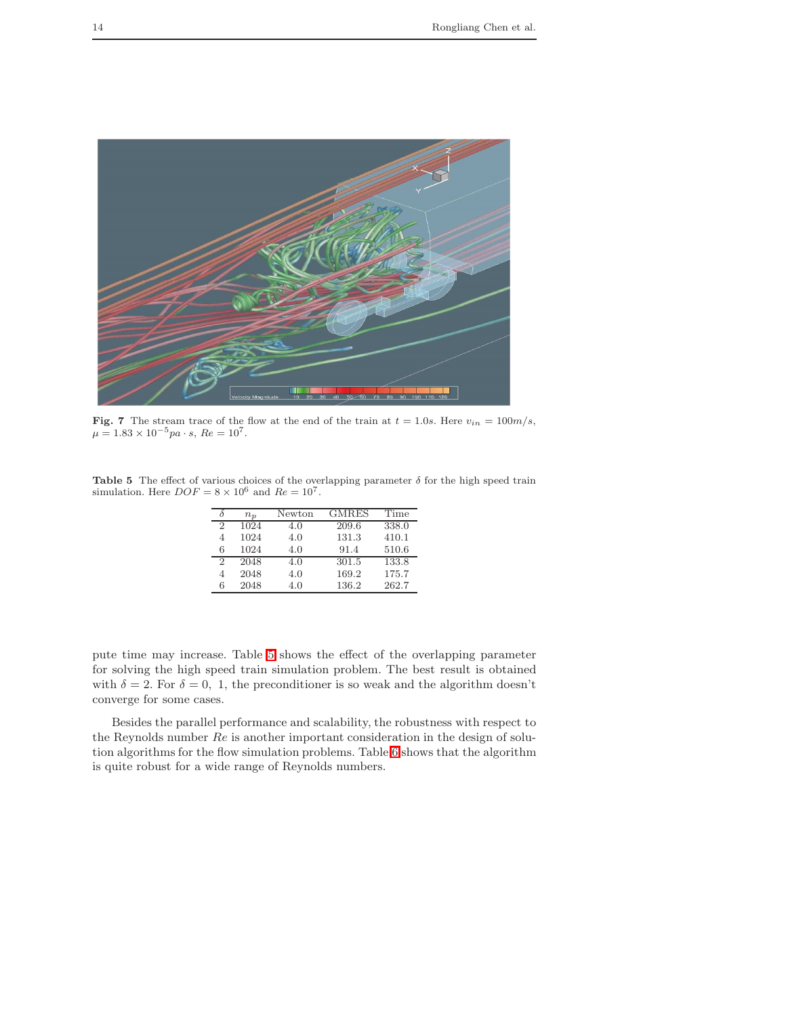

**Fig. 7** The stream trace of the flow at the end of the train at  $t = 1.0s$ . Here  $v_{in} = 100m/s$ ,  $\mu = 1.83 \times 10^{-5}pa \cdot s$ ,  $Re = 10^{7}$ .

<span id="page-13-1"></span><span id="page-13-0"></span>Table 5 The effect of various choices of the overlapping parameter  $\delta$  for the high speed train simulation. Here  $DOF = 8 \times 10^6$  and  $Re = 10^7$ .

|   | $n_{p}$ | Newton | GMRES | Time  |
|---|---------|--------|-------|-------|
| 2 | 1024    | 4.0    | 209.6 | 338.0 |
| 4 | 1024    | 4.0    | 131.3 | 410.1 |
| 6 | 1024    | 4.0    | 91.4  | 510.6 |
| 2 | 2048    | 4.0    | 301.5 | 133.8 |
| 4 | 2048    | 4.0    | 169.2 | 175.7 |
| 6 | 2048    | 4.0    | 136.2 | 262.7 |

pute time may increase. Table [5](#page-13-1) shows the effect of the overlapping parameter for solving the high speed train simulation problem. The best result is obtained with  $\delta = 2$ . For  $\delta = 0, 1$ , the preconditioner is so weak and the algorithm doesn't converge for some cases.

Besides the parallel performance and scalability, the robustness with respect to the Reynolds number Re is another important consideration in the design of solution algorithms for the flow simulation problems. Table [6](#page-15-14) shows that the algorithm is quite robust for a wide range of Reynolds numbers.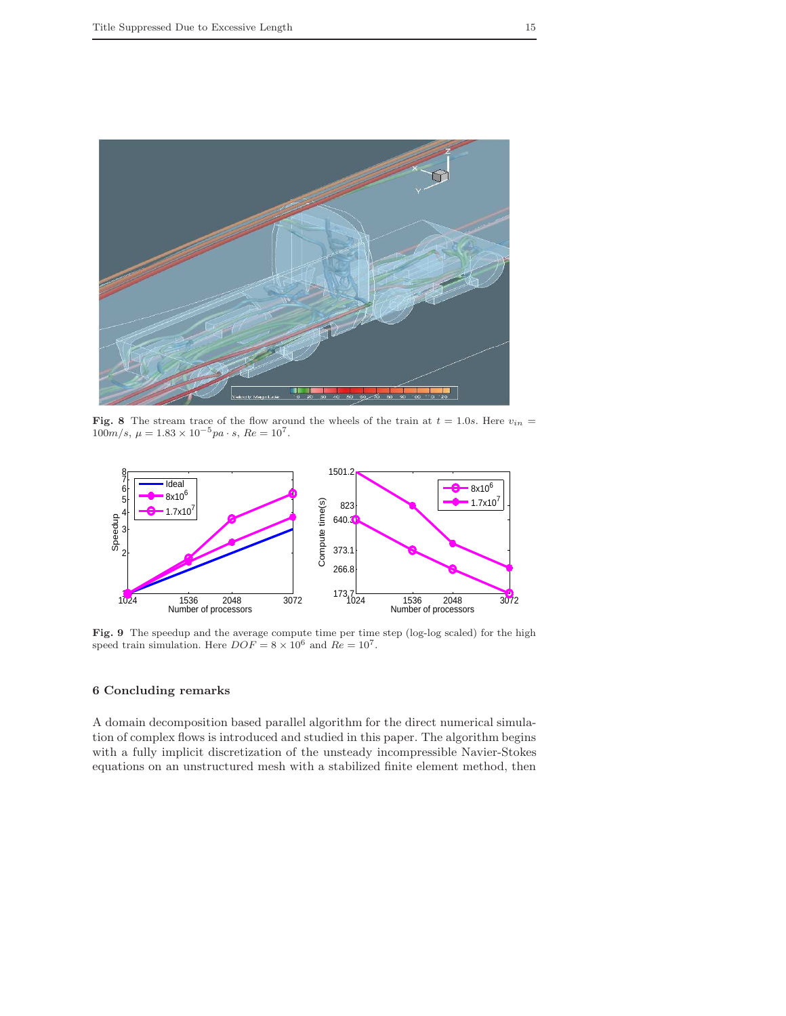

**Fig. 8** The stream trace of the flow around the wheels of the train at  $t = 1.0s$ . Here  $v_{in} = 100m/s$ ,  $\mu = 1.83 \times 10^{-5}pa \cdot s$ ,  $Re = 10^{7}$ .

<span id="page-14-0"></span>

<span id="page-14-1"></span>Fig. 9 The speedup and the average compute time per time step (log-log scaled) for the high speed train simulation. Here  $DOF = 8 \times 10^6$  and  $Re = 10^7$ .

# 6 Concluding remarks

A domain decomposition based parallel algorithm for the direct numerical simulation of complex flows is introduced and studied in this paper. The algorithm begins with a fully implicit discretization of the unsteady incompressible Navier-Stokes equations on an unstructured mesh with a stabilized finite element method, then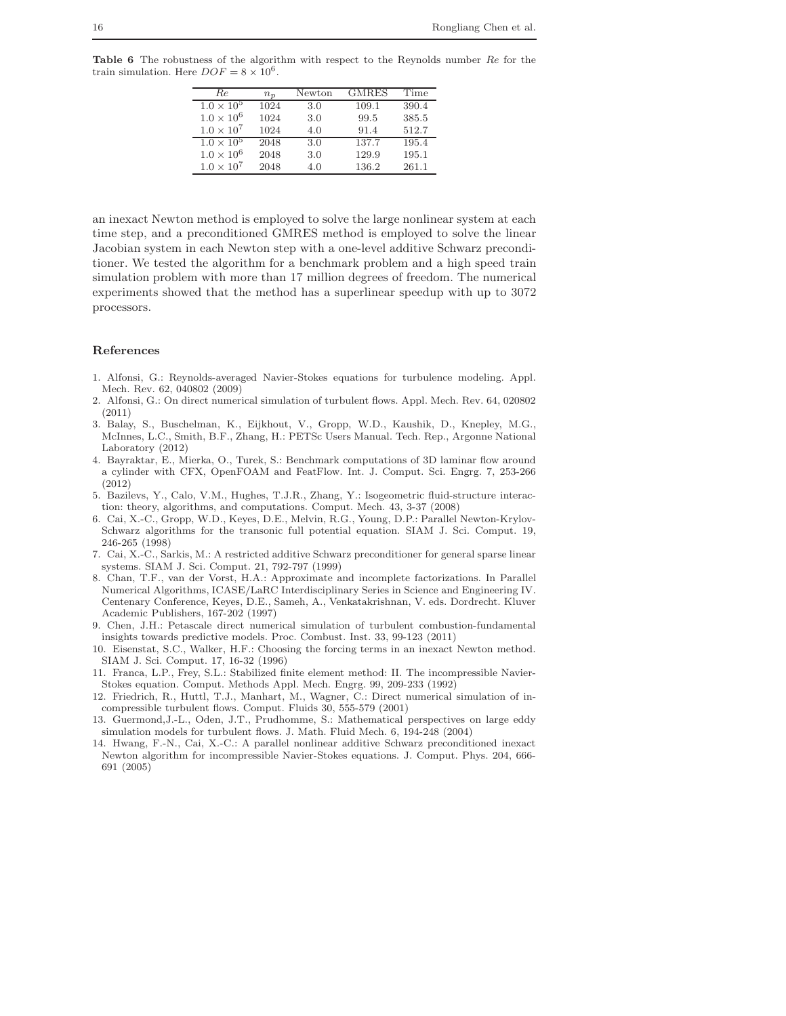<span id="page-15-14"></span>Table 6 The robustness of the algorithm with respect to the Reynolds number Re for the train simulation. Here  $DOF = 8 \times 10^6$ .

| Re.                 | $n_p$ | Newton | <b>GMRES</b> | Time  |
|---------------------|-------|--------|--------------|-------|
| $1.0 \times 10^{5}$ | 1024  | 3.0    | 109.1        | 390.4 |
| $1.0 \times 10^{6}$ | 1024  | 3.0    | 99.5         | 385.5 |
| $1.0 \times 10^7$   | 1024  | 4.0    | 91.4         | 512.7 |
| $1.0 \times 10^{5}$ | 2048  | 3.0    | 137.7        | 195.4 |
| $1.0 \times 10^{6}$ | 2048  | 3.0    | 129.9        | 195.1 |
| $1.0 \times 10^7$   | 2048  | 4.0    | 136.2        | 261.1 |

an inexact Newton method is employed to solve the large nonlinear system at each time step, and a preconditioned GMRES method is employed to solve the linear Jacobian system in each Newton step with a one-level additive Schwarz preconditioner. We tested the algorithm for a benchmark problem and a high speed train simulation problem with more than 17 million degrees of freedom. The numerical experiments showed that the method has a superlinear speedup with up to 3072 processors.

#### <span id="page-15-0"></span>References

- 1. Alfonsi, G.: Reynolds-averaged Navier-Stokes equations for turbulence modeling. Appl. Mech. Rev. 62, 040802 (2009)
- <span id="page-15-2"></span>2. Alfonsi, G.: On direct numerical simulation of turbulent flows. Appl. Mech. Rev. 64, 020802 (2011)
- <span id="page-15-12"></span>3. Balay, S., Buschelman, K., Eijkhout, V., Gropp, W.D., Kaushik, D., Knepley, M.G., McInnes, L.C., Smith, B.F., Zhang, H.: PETSc Users Manual. Tech. Rep., Argonne National Laboratory (2012)
- <span id="page-15-13"></span>4. Bayraktar, E., Mierka, O., Turek, S.: Benchmark computations of 3D laminar flow around a cylinder with CFX, OpenFOAM and FeatFlow. Int. J. Comput. Sci. Engrg. 7, 253-266 (2012)
- <span id="page-15-7"></span>5. Bazilevs, Y., Calo, V.M., Hughes, T.J.R., Zhang, Y.: Isogeometric fluid-structure interaction: theory, algorithms, and computations. Comput. Mech. 43, 3-37 (2008)
- <span id="page-15-5"></span>6. Cai, X.-C., Gropp, W.D., Keyes, D.E., Melvin, R.G., Young, D.P.: Parallel Newton-Krylov-Schwarz algorithms for the transonic full potential equation. SIAM J. Sci. Comput. 19, 246-265 (1998)
- <span id="page-15-11"></span><span id="page-15-10"></span>7. Cai, X.-C., Sarkis, M.: A restricted additive Schwarz preconditioner for general sparse linear systems. SIAM J. Sci. Comput. 21, 792-797 (1999)
- 8. Chan, T.F., van der Vorst, H.A.: Approximate and incomplete factorizations. In Parallel Numerical Algorithms, ICASE/LaRC Interdisciplinary Series in Science and Engineering IV. Centenary Conference, Keyes, D.E., Sameh, A., Venkatakrishnan, V. eds. Dordrecht. Kluver Academic Publishers, 167-202 (1997)
- <span id="page-15-9"></span><span id="page-15-4"></span>9. Chen, J.H.: Petascale direct numerical simulation of turbulent combustion-fundamental insights towards predictive models. Proc. Combust. Inst. 33, 99-123 (2011)
- 10. Eisenstat, S.C., Walker, H.F.: Choosing the forcing terms in an inexact Newton method. SIAM J. Sci. Comput. 17, 16-32 (1996)
- <span id="page-15-8"></span>11. Franca, L.P., Frey, S.L.: Stabilized finite element method: II. The incompressible Navier-Stokes equation. Comput. Methods Appl. Mech. Engrg. 99, 209-233 (1992)
- <span id="page-15-3"></span>12. Friedrich, R., Huttl, T.J., Manhart, M., Wagner, C.: Direct numerical simulation of incompressible turbulent flows. Comput. Fluids 30, 555-579 (2001)
- <span id="page-15-1"></span>13. Guermond,J.-L., Oden, J.T., Prudhomme, S.: Mathematical perspectives on large eddy simulation models for turbulent flows. J. Math. Fluid Mech. 6, 194-248 (2004)
- <span id="page-15-6"></span>14. Hwang, F.-N., Cai, X.-C.: A parallel nonlinear additive Schwarz preconditioned inexact Newton algorithm for incompressible Navier-Stokes equations. J. Comput. Phys. 204, 666- 691 (2005)